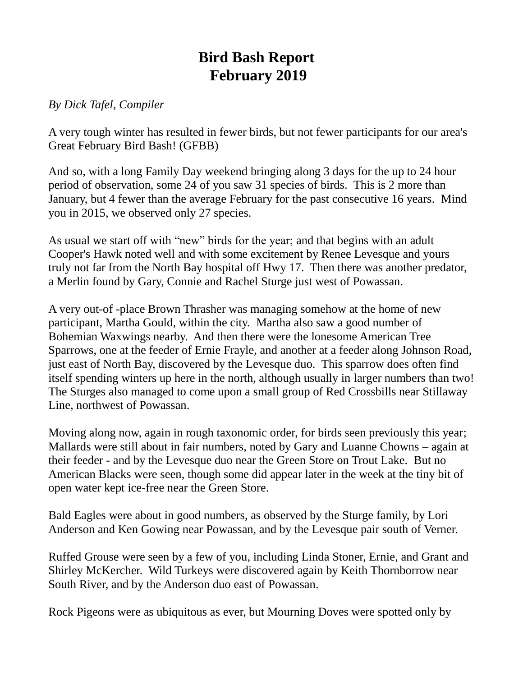## **Bird Bash Report February 2019**

## *By Dick Tafel, Compiler*

A very tough winter has resulted in fewer birds, but not fewer participants for our area's Great February Bird Bash! (GFBB)

And so, with a long Family Day weekend bringing along 3 days for the up to 24 hour period of observation, some 24 of you saw 31 species of birds. This is 2 more than January, but 4 fewer than the average February for the past consecutive 16 years. Mind you in 2015, we observed only 27 species.

As usual we start off with "new" birds for the year; and that begins with an adult Cooper's Hawk noted well and with some excitement by Renee Levesque and yours truly not far from the North Bay hospital off Hwy 17. Then there was another predator, a Merlin found by Gary, Connie and Rachel Sturge just west of Powassan.

A very out-of -place Brown Thrasher was managing somehow at the home of new participant, Martha Gould, within the city. Martha also saw a good number of Bohemian Waxwings nearby. And then there were the lonesome American Tree Sparrows, one at the feeder of Ernie Frayle, and another at a feeder along Johnson Road, just east of North Bay, discovered by the Levesque duo. This sparrow does often find itself spending winters up here in the north, although usually in larger numbers than two! The Sturges also managed to come upon a small group of Red Crossbills near Stillaway Line, northwest of Powassan.

Moving along now, again in rough taxonomic order, for birds seen previously this year; Mallards were still about in fair numbers, noted by Gary and Luanne Chowns – again at their feeder - and by the Levesque duo near the Green Store on Trout Lake. But no American Blacks were seen, though some did appear later in the week at the tiny bit of open water kept ice-free near the Green Store.

Bald Eagles were about in good numbers, as observed by the Sturge family, by Lori Anderson and Ken Gowing near Powassan, and by the Levesque pair south of Verner.

Ruffed Grouse were seen by a few of you, including Linda Stoner, Ernie, and Grant and Shirley McKercher. Wild Turkeys were discovered again by Keith Thornborrow near South River, and by the Anderson duo east of Powassan.

Rock Pigeons were as ubiquitous as ever, but Mourning Doves were spotted only by